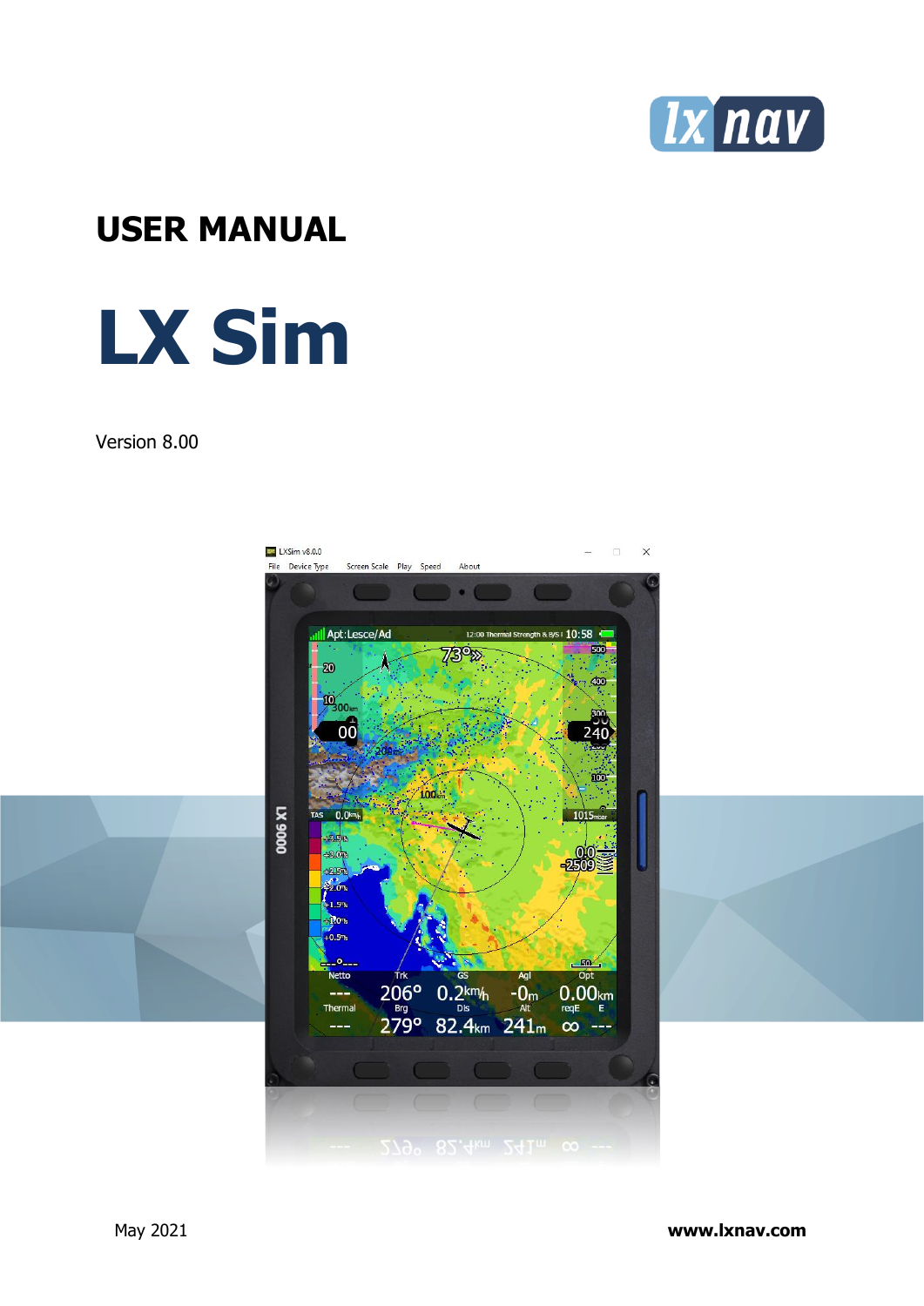

# **USER MANUAL**

# **LX Sim**

#### Version 8.00



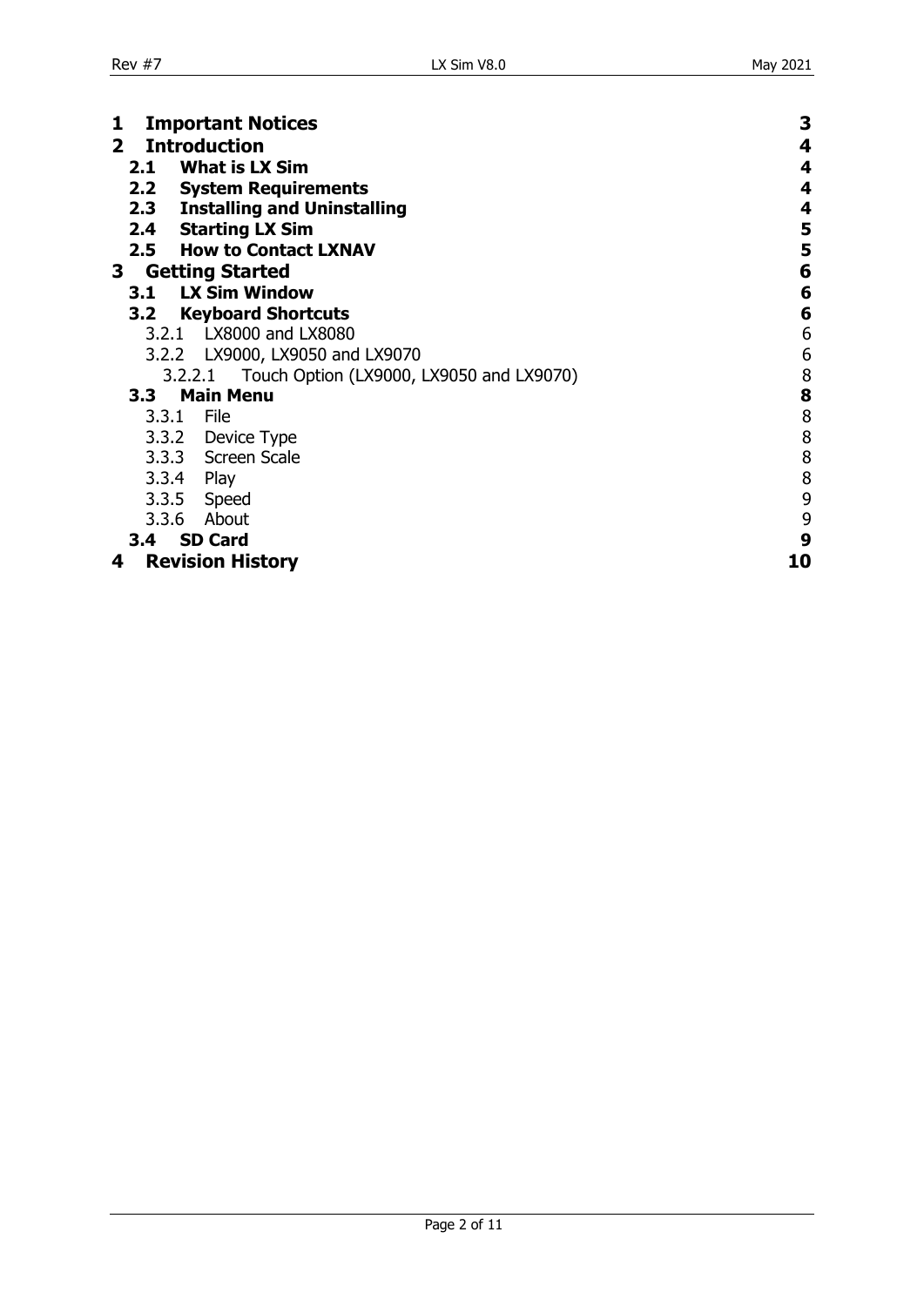<span id="page-1-0"></span>

| <b>Important Notices</b>                            | 3      |  |  |
|-----------------------------------------------------|--------|--|--|
| <b>Introduction</b><br>$\mathbf{2}^-$               |        |  |  |
| <b>What is LX Sim</b><br>2.1                        | 4<br>4 |  |  |
| 2.2 System Requirements                             | 4      |  |  |
| <b>Installing and Uninstalling</b><br>2.3           | 4      |  |  |
|                                                     |        |  |  |
| <b>Starting LX Sim</b><br>2.4                       | 5      |  |  |
| 2.5<br><b>How to Contact LXNAV</b>                  | 5      |  |  |
| <b>Getting Started</b><br>3                         | 6      |  |  |
| <b>LX Sim Window</b><br>3.1                         | 6      |  |  |
| <b>Keyboard Shortcuts</b><br>3.2                    | 6      |  |  |
| LX8000 and LX8080<br>3.2.1                          | 6      |  |  |
| LX9000, LX9050 and LX9070<br>3.2.2                  | 6      |  |  |
| Touch Option (LX9000, LX9050 and LX9070)<br>3.2.2.1 | 8      |  |  |
| <b>Main Menu</b><br>3.3                             | 8      |  |  |
| 3.3.1 File                                          | 8      |  |  |
|                                                     |        |  |  |
| 3.3.2 Device Type                                   | 8      |  |  |
| 3.3.3 Screen Scale                                  | 8      |  |  |
| 3.3.4 Play                                          | 8      |  |  |
| 3.3.5 Speed                                         | 9      |  |  |
| About<br>3.3.6                                      | 9      |  |  |
| <b>SD Card</b><br>3.4                               | 9      |  |  |
| <b>Revision History</b><br>4                        | 10     |  |  |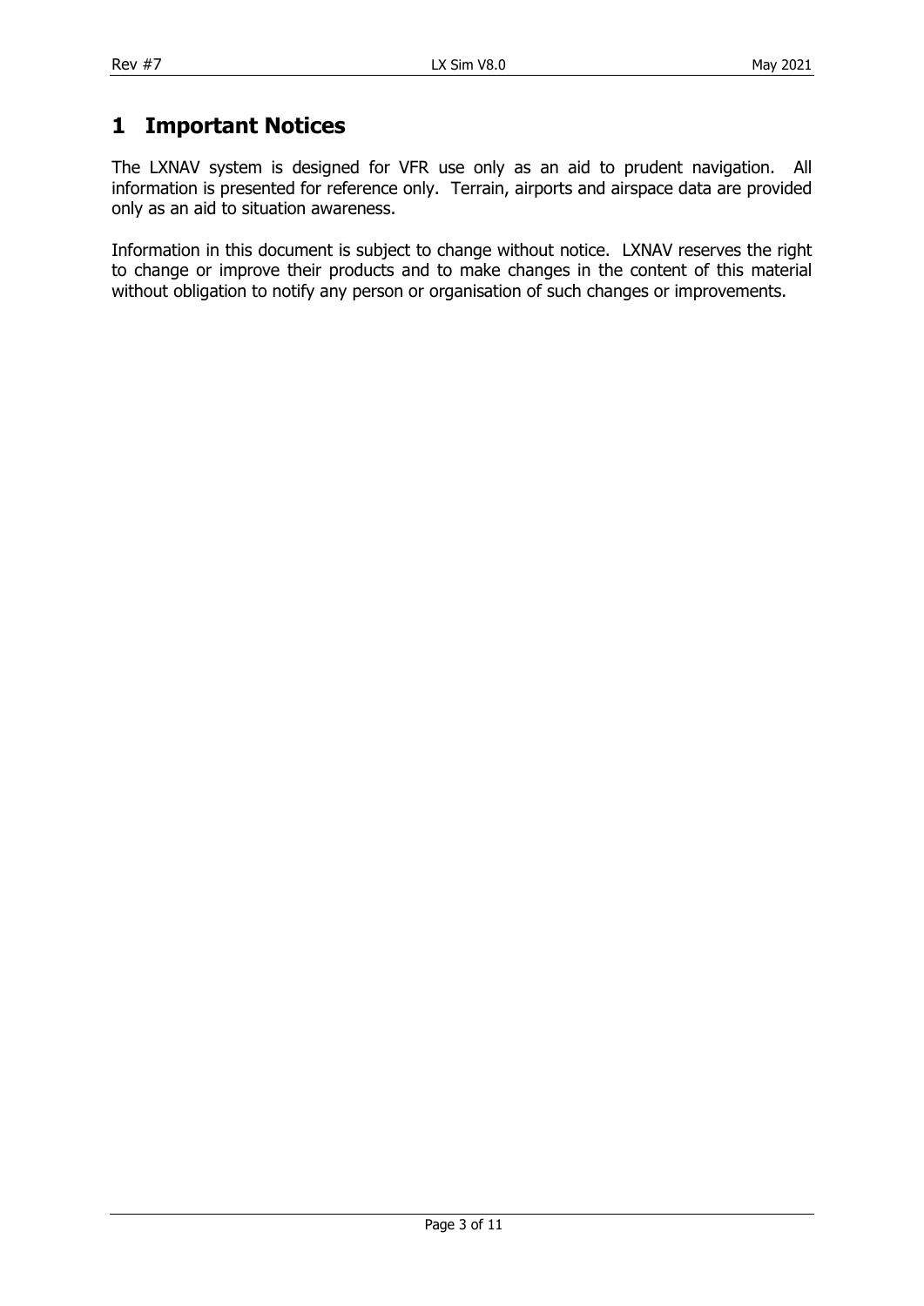### <span id="page-2-0"></span>**1 Important Notices**

The LXNAV system is designed for VFR use only as an aid to prudent navigation. All information is presented for reference only. Terrain, airports and airspace data are provided only as an aid to situation awareness.

Information in this document is subject to change without notice. LXNAV reserves the right to change or improve their products and to make changes in the content of this material without obligation to notify any person or organisation of such changes or improvements.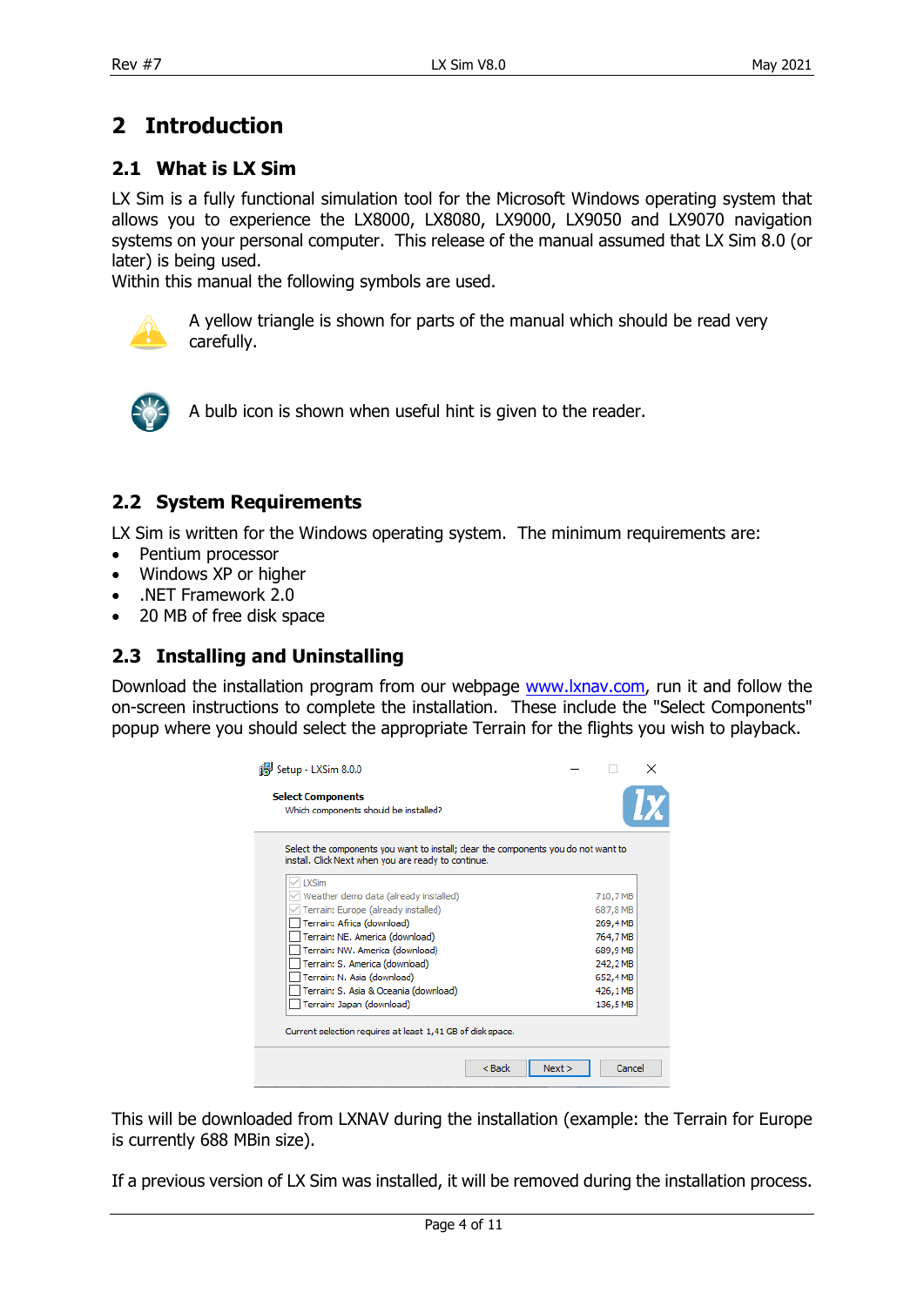### <span id="page-3-0"></span>**2 Introduction**

#### <span id="page-3-1"></span>**2.1 What is LX Sim**

LX Sim is a fully functional simulation tool for the Microsoft Windows operating system that allows you to experience the LX8000, LX8080, LX9000, LX9050 and LX9070 navigation systems on your personal computer. This release of the manual assumed that LX Sim 8.0 (or later) is being used.

Within this manual the following symbols are used.



A yellow triangle is shown for parts of the manual which should be read very carefully.



A bulb icon is shown when useful hint is given to the reader.

#### <span id="page-3-2"></span>**2.2 System Requirements**

LX Sim is written for the Windows operating system. The minimum requirements are:

- Pentium processor
- Windows XP or higher
- .NET Framework 2.0
- <span id="page-3-3"></span>• 20 MB of free disk space

#### **2.3 Installing and Uninstalling**

Download the installation program from our webpage [www.lxnav.com,](http://www.lxnav.com/) run it and follow the on-screen instructions to complete the installation. These include the "Select Components" popup where you should select the appropriate Terrain for the flights you wish to playback.

| Setup - LXSim 8.0.0<br><b>Select Components</b><br>Which components should be installed?                                                  |      |  |          |  |
|-------------------------------------------------------------------------------------------------------------------------------------------|------|--|----------|--|
| Select the components you want to install; clear the components you do not want to<br>install. Click Next when you are ready to continue. |      |  |          |  |
| <b>LXSim</b>                                                                                                                              |      |  |          |  |
| Weather demo data (already installed)                                                                                                     |      |  | 710,7 MB |  |
| Terrain: Europe (already installed)                                                                                                       |      |  | 687,8 MB |  |
| Terrain: Africa (download)                                                                                                                |      |  | 269,4MB  |  |
| Terrain: NE. America (download)                                                                                                           |      |  | 764,7 MB |  |
| Terrain: NW. America (download)                                                                                                           |      |  | 689.9 MB |  |
| Terrain: S. America (download)                                                                                                            |      |  | 242,2 MB |  |
| Terrain: N. Asia (download)                                                                                                               |      |  | 652,4MB  |  |
| Terrain: S. Asia & Oceania (download)                                                                                                     |      |  | 426,1 MB |  |
| Terrain: Japan (download)                                                                                                                 |      |  | 136,5 MB |  |
| Current selection requires at least 1,41 GB of disk space.                                                                                |      |  |          |  |
| $Back$                                                                                                                                    | Next |  | Cancel   |  |

This will be downloaded from LXNAV during the installation (example: the Terrain for Europe is currently 688 MBin size).

If a previous version of LX Sim was installed, it will be removed during the installation process.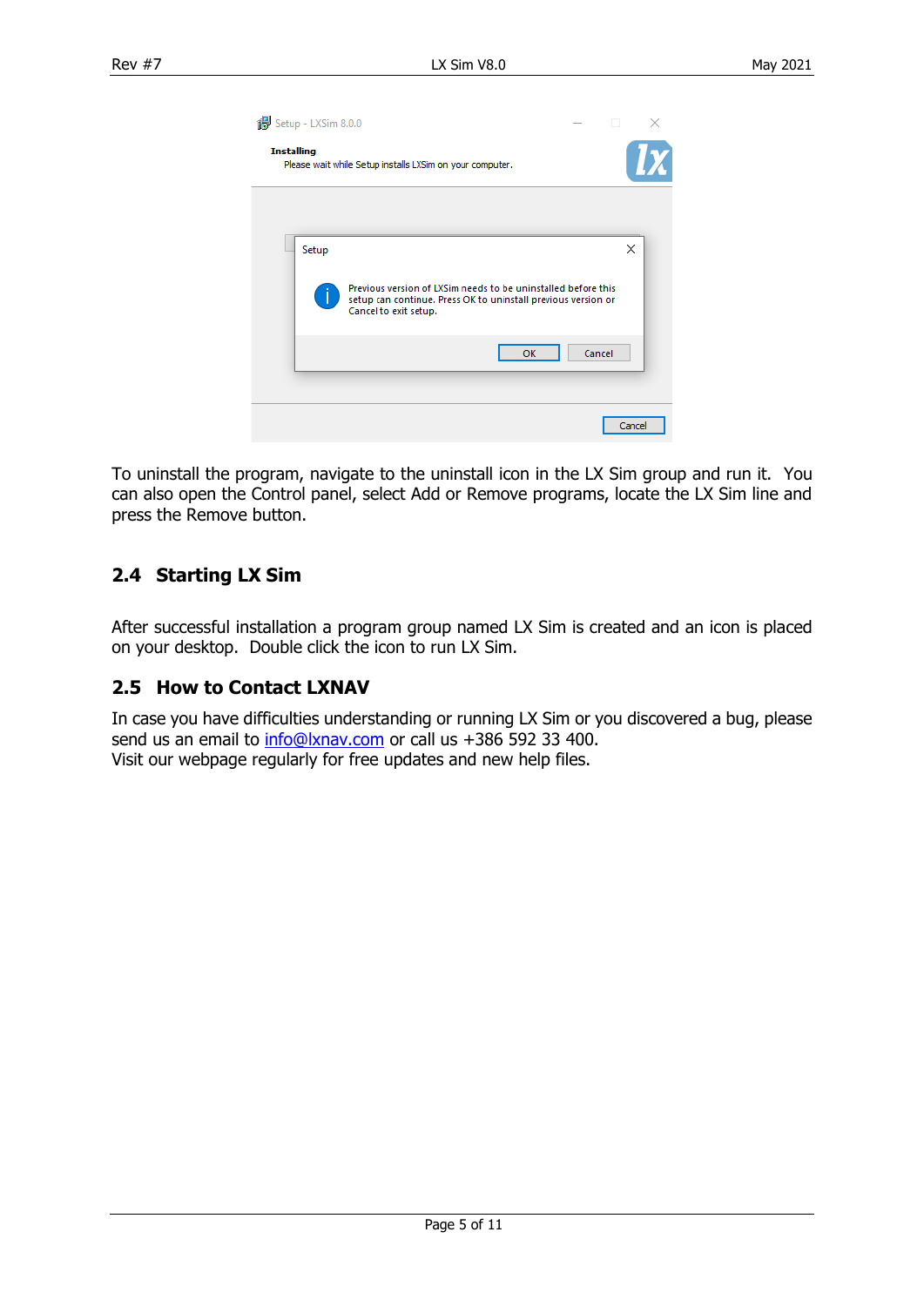|                   | Setup - LXSim 8.0.0 |                                                                                                                                                         | o      | × |
|-------------------|---------------------|---------------------------------------------------------------------------------------------------------------------------------------------------------|--------|---|
| <b>Installing</b> |                     | Please wait while Setup installs LXSim on your computer.                                                                                                |        |   |
|                   |                     |                                                                                                                                                         |        |   |
|                   | Setup               |                                                                                                                                                         | ×      |   |
|                   |                     | Previous version of LXSim needs to be uninstalled before this<br>setup can continue. Press OK to uninstall previous version or<br>Cancel to exit setup. |        |   |
|                   |                     | Cancel<br>OK                                                                                                                                            |        |   |
|                   |                     |                                                                                                                                                         |        |   |
|                   |                     |                                                                                                                                                         | Cancel |   |

To uninstall the program, navigate to the uninstall icon in the LX Sim group and run it. You can also open the Control panel, select Add or Remove programs, locate the LX Sim line and press the Remove button.

#### <span id="page-4-0"></span>**2.4 Starting LX Sim**

After successful installation a program group named LX Sim is created and an icon is placed on your desktop. Double click the icon to run LX Sim.

#### <span id="page-4-1"></span>**2.5 How to Contact LXNAV**

In case you have difficulties understanding or running LX Sim or you discovered a bug, please send us an email to info@lxnay.com or call us +386 592 33 400. Visit our webpage regularly for free updates and new help files.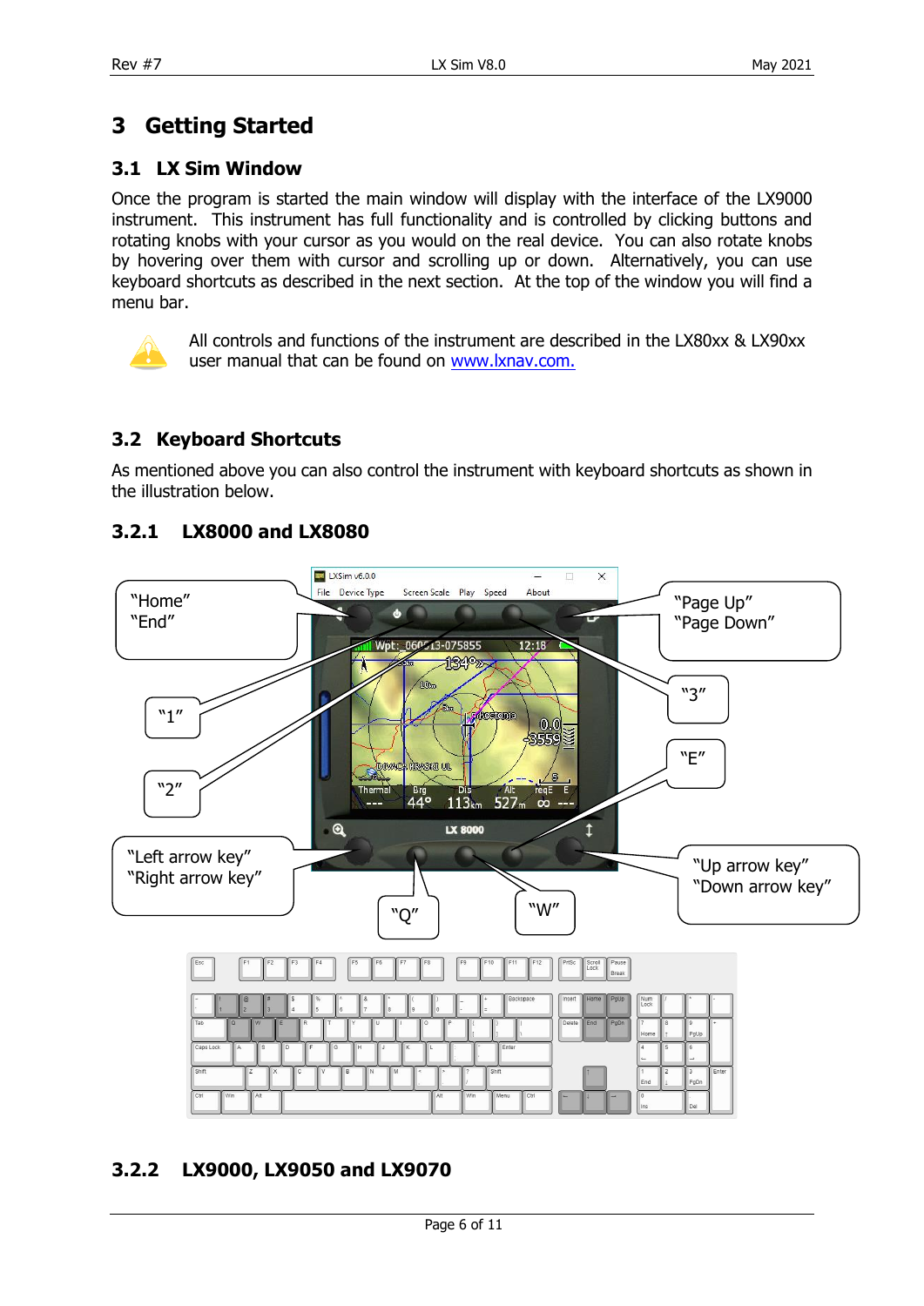## <span id="page-5-0"></span>**3 Getting Started**

#### <span id="page-5-1"></span>**3.1 LX Sim Window**

Once the program is started the main window will display with the interface of the LX9000 instrument. This instrument has full functionality and is controlled by clicking buttons and rotating knobs with your cursor as you would on the real device. You can also rotate knobs by hovering over them with cursor and scrolling up or down. Alternatively, you can use keyboard shortcuts as described in the next section. At the top of the window you will find a menu bar.



All controls and functions of the instrument are described in the LX80xx & LX90xx user manual that can be found on [www.lxnav.com.](http://www.lxnav.com/)

#### <span id="page-5-2"></span>**3.2 Keyboard Shortcuts**

As mentioned above you can also control the instrument with keyboard shortcuts as shown in the illustration below.



#### <span id="page-5-3"></span>**3.2.1 LX8000 and LX8080**

#### <span id="page-5-4"></span>**3.2.2 LX9000, LX9050 and LX9070**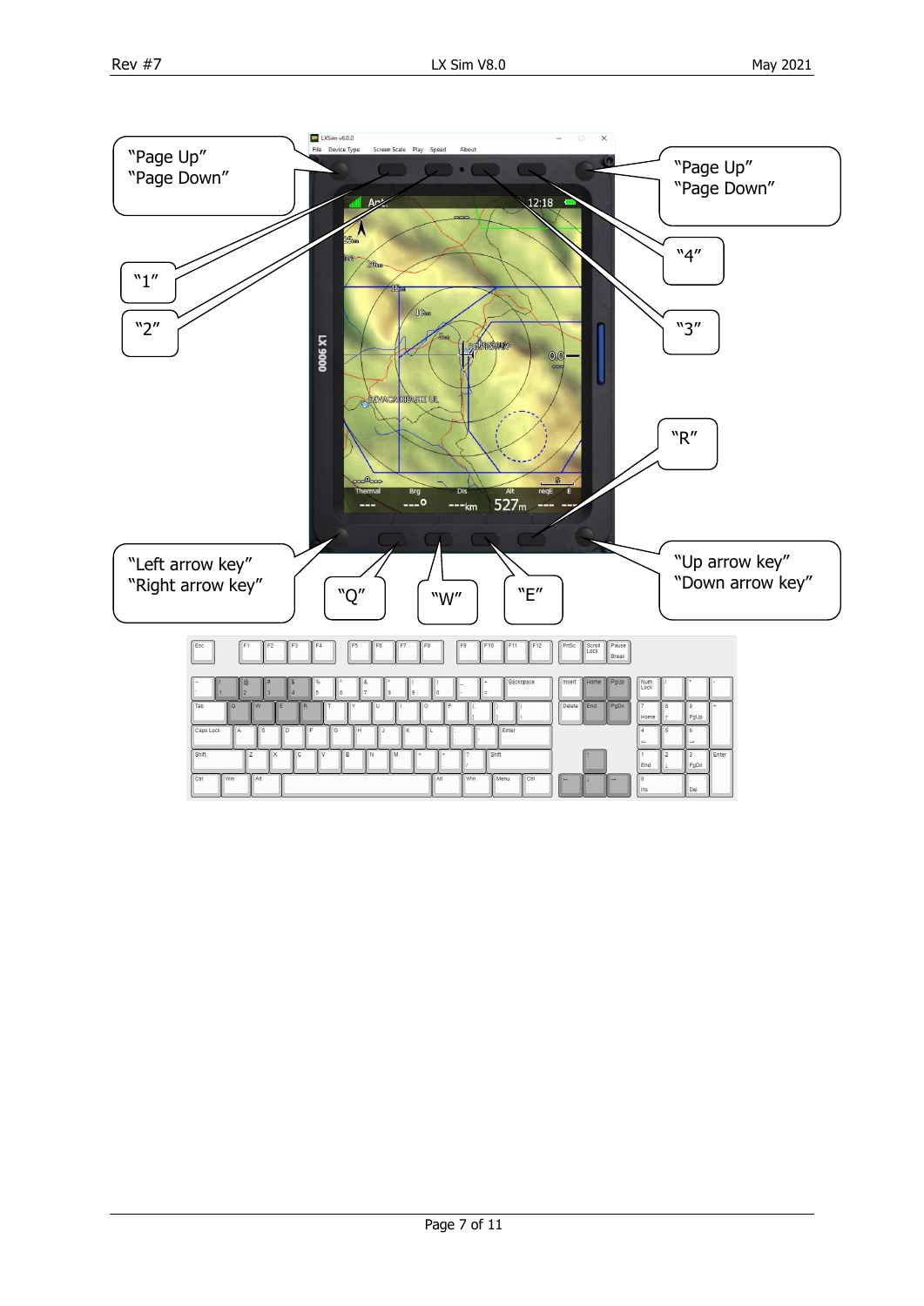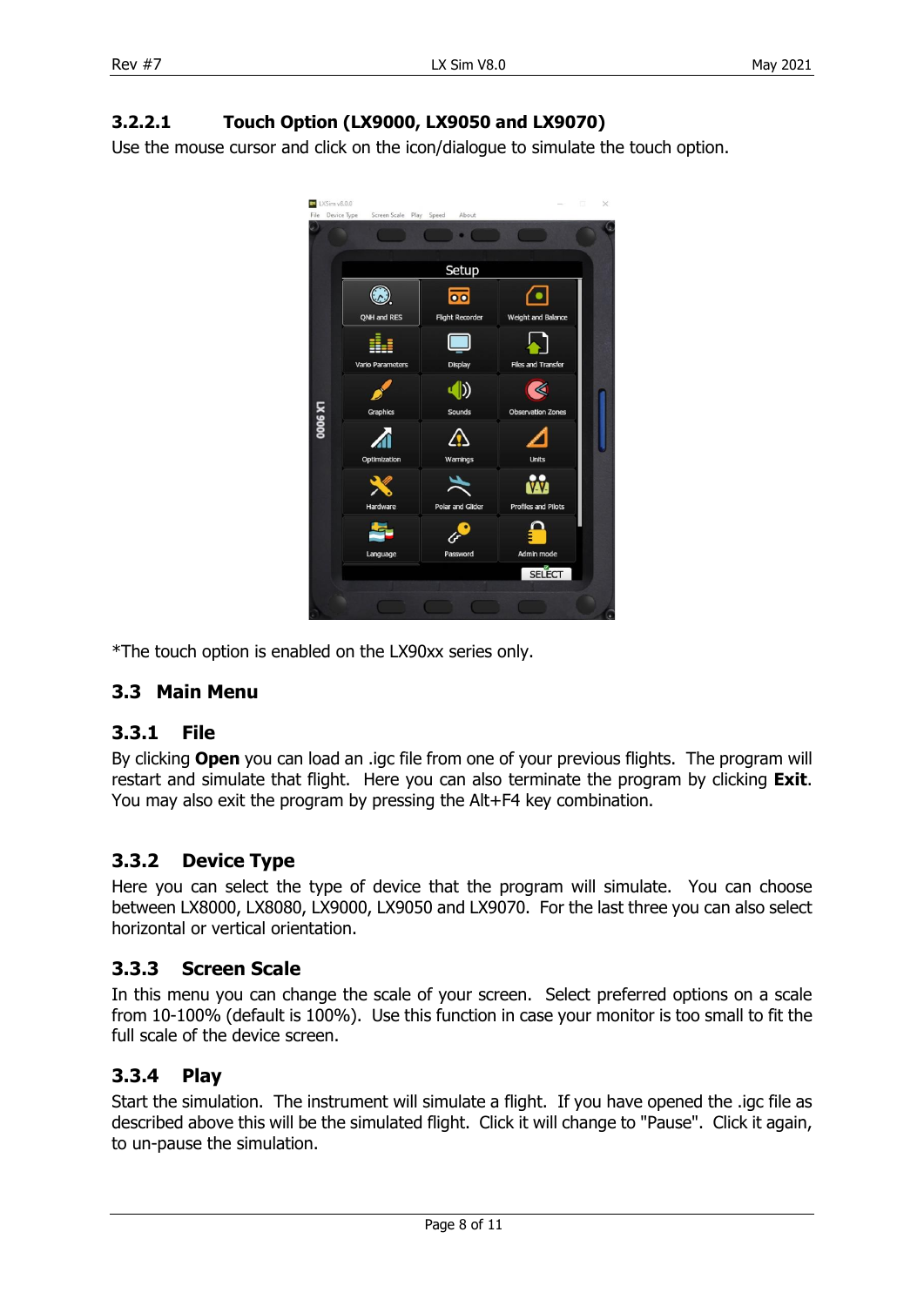#### <span id="page-7-0"></span>**3.2.2.1 Touch Option (LX9000, LX9050 and LX9070)**

Use the mouse cursor and click on the icon/dialogue to simulate the touch option.



\*The touch option is enabled on the LX90xx series only.

#### <span id="page-7-1"></span>**3.3 Main Menu**

#### <span id="page-7-2"></span>**3.3.1 File**

By clicking **Open** you can load an .igc file from one of your previous flights. The program will restart and simulate that flight. Here you can also terminate the program by clicking **Exit**. You may also exit the program by pressing the Alt+F4 key combination.

#### <span id="page-7-3"></span>**3.3.2 Device Type**

Here you can select the type of device that the program will simulate. You can choose between LX8000, LX8080, LX9000, LX9050 and LX9070. For the last three you can also select horizontal or vertical orientation.

#### <span id="page-7-4"></span>**3.3.3 Screen Scale**

In this menu you can change the scale of your screen. Select preferred options on a scale from 10-100% (default is 100%). Use this function in case your monitor is too small to fit the full scale of the device screen.

#### <span id="page-7-5"></span>**3.3.4 Play**

Start the simulation. The instrument will simulate a flight. If you have opened the .igc file as described above this will be the simulated flight. Click it will change to "Pause". Click it again, to un-pause the simulation.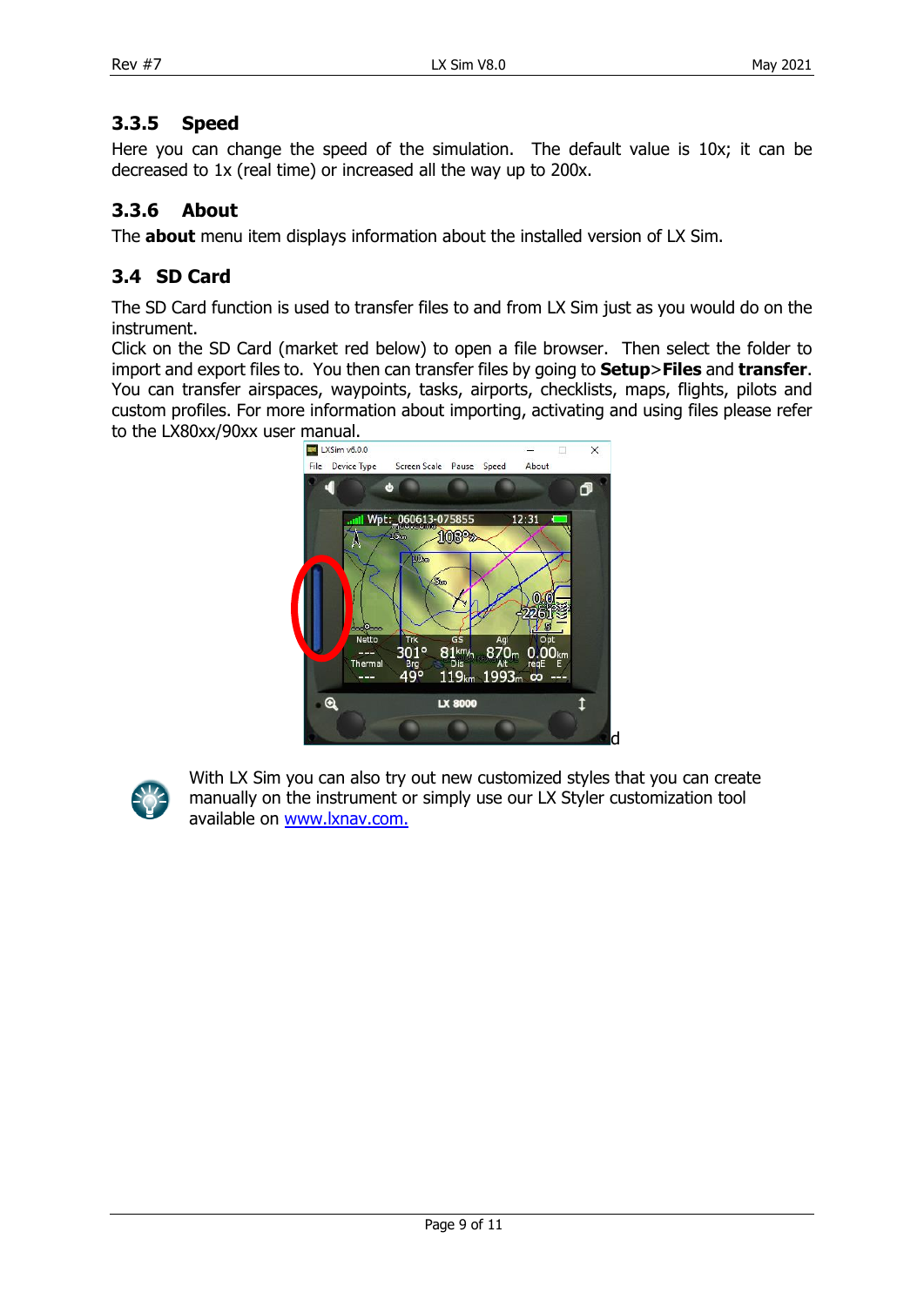#### <span id="page-8-0"></span>**3.3.5 Speed**

Here you can change the speed of the simulation. The default value is 10x; it can be decreased to 1x (real time) or increased all the way up to 200x.

#### <span id="page-8-1"></span>**3.3.6 About**

The **about** menu item displays information about the installed version of LX Sim.

#### <span id="page-8-2"></span>**3.4 SD Card**

The SD Card function is used to transfer files to and from LX Sim just as you would do on the instrument.

Click on the SD Card (market red below) to open a file browser. Then select the folder to import and export files to. You then can transfer files by going to **Setup**>**Files** and **transfer**. You can transfer airspaces, waypoints, tasks, airports, checklists, maps, flights, pilots and custom profiles. For more information about importing, activating and using files please refer to the LX80xx/90xx user manual.

![](_page_8_Picture_10.jpeg)

![](_page_8_Picture_11.jpeg)

With LX Sim you can also try out new customized styles that you can create manually on the instrument or simply use our LX Styler customization tool available on [www.lxnav.com.](http://www.lxnav.com/)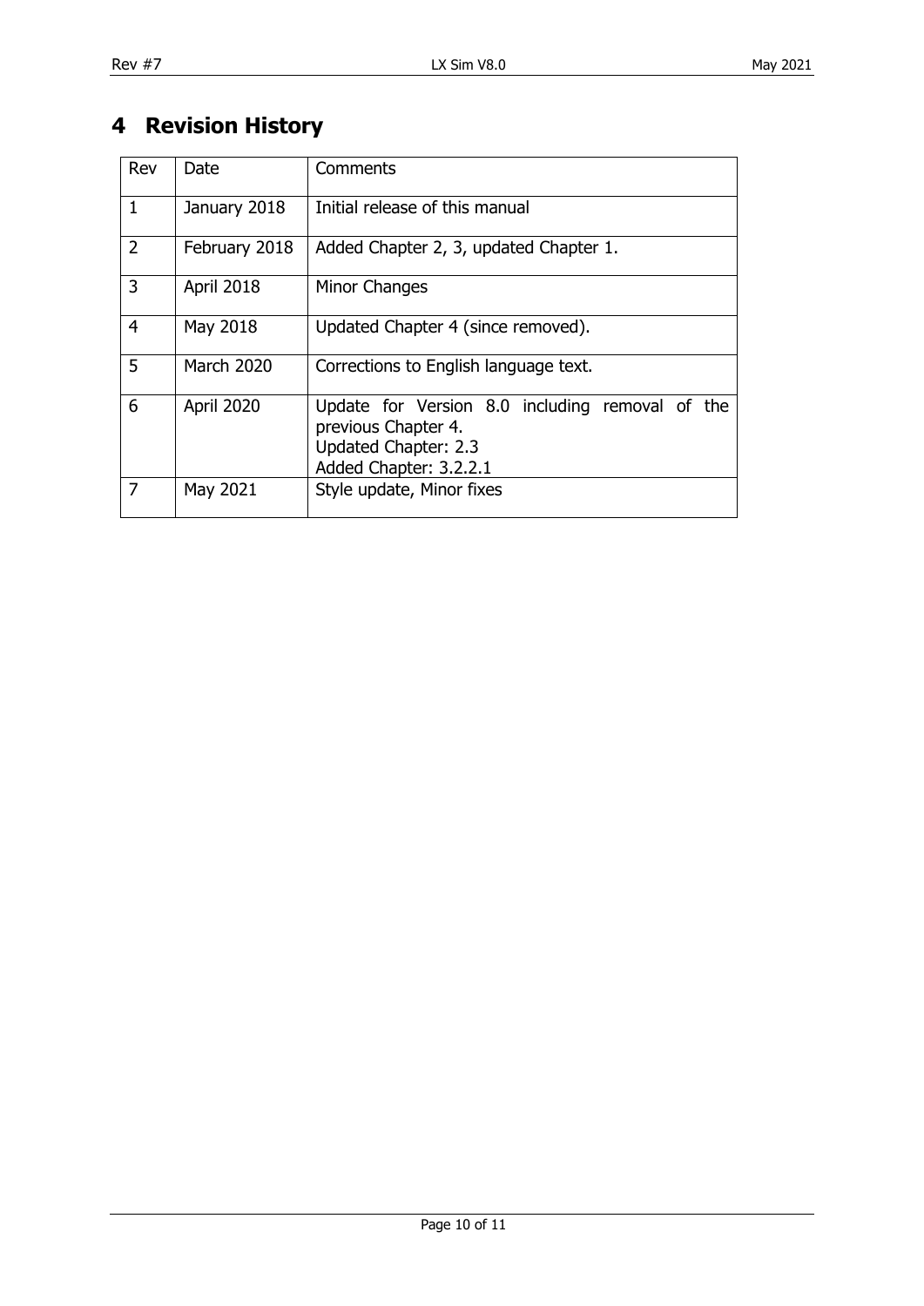# <span id="page-9-0"></span>**4 Revision History**

| Rev            | Date              | Comments                                                                                                                 |
|----------------|-------------------|--------------------------------------------------------------------------------------------------------------------------|
| $\mathbf{1}$   | January 2018      | Initial release of this manual                                                                                           |
| $\overline{2}$ | February 2018     | Added Chapter 2, 3, updated Chapter 1.                                                                                   |
| 3              | April 2018        | Minor Changes                                                                                                            |
| $\overline{4}$ | May 2018          | Updated Chapter 4 (since removed).                                                                                       |
| 5              | <b>March 2020</b> | Corrections to English language text.                                                                                    |
| 6              | <b>April 2020</b> | Update for Version 8.0 including removal of the<br>previous Chapter 4.<br>Updated Chapter: 2.3<br>Added Chapter: 3.2.2.1 |
| 7              | May 2021          | Style update, Minor fixes                                                                                                |